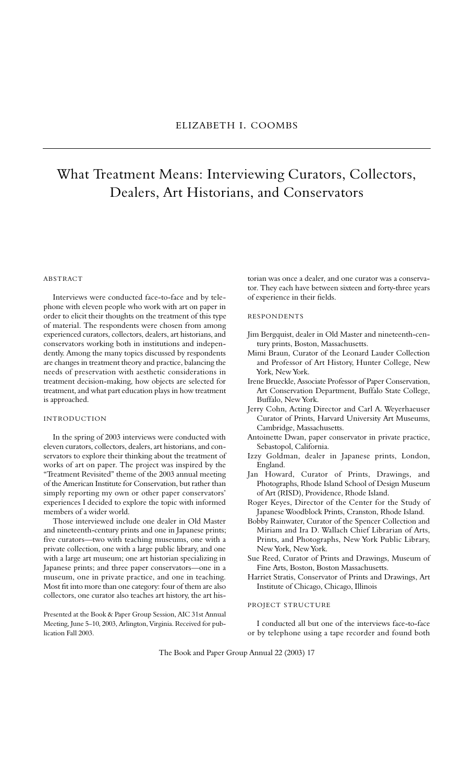# What Treatment Means: Interviewing Curators, Collectors, Dealers, Art Historians, and Conservators

# **ABSTRACT**

Interviews were conducted face-to-face and by telephone with eleven people who work with art on paper in order to elicit their thoughts on the treatment of this type of material. The respondents were chosen from among experienced curators, collectors, dealers, art historians, and conservators working both in institutions and independently. Among the many topics discussed by respondents are changes in treatment theory and practice, balancing the needs of preservation with aesthetic considerations in treatment decision-making, how objects are selected for treatment, and what part education plays in how treatment is approached.

#### IN TRODUCTION

In the spring of 2003 interviews were conducted with eleven curators, collectors, dealers, art historians, and conservators to explore their thinking about the treatment of works of art on paper. The project was inspired by the "Treatment Revisited" theme of the 2003 annual meeting of the American Institute for Conservation, but rather than simply reporting my own or other paper conservators' experiences I decided to explore the topic with informed members of a wider world.

Those interviewed include one dealer in Old Master and nineteenth-century prints and one in Japanese prints; five curators—two with teaching museums, one with a private collection, one with a large public library, and one with a large art museum; one art historian specializing in Japanese prints; and three paper conservators—one in a museum, one in private practice, and one in teaching. Most fit into more than one category: four of them are also collectors, one curator also teaches art history, the art his-

Presented at the Book & Paper Group Session, AIC 31st Annual Meeting, June 5–10, 2003, Arlington, Virginia. Received for publication Fall 2003.

torian was once a dealer, and one curator was a conservator. They each have between sixteen and forty-three years of experience in their fields.

## RESPONDENTS

- Jim Bergquist, dealer in Old Master and nineteenth-century prints, Boston, Massachusetts.
- Mimi Braun, Curator of the Leonard Lauder Collection and Professor of Art History, Hunter College, New York, New York.
- Irene Brueckle, Associate Professor of Paper Conservation, Art Conservation Department, Buffalo State College, Buffalo, New York.
- Jerry Cohn, Acting Director and Carl A. Weyerhaeuser Curator of Prints, Harvard University Art Museums, Cambridge, Massachusetts.
- Antoinette Dwan, paper conservator in private practice, Sebastopol, California.
- Izzy Goldman, dealer in Japanese prints, London, England.
- Jan Howard, Curator of Prints, Drawings, and Photographs, Rhode Island School of Design Museum of Art (RISD), Providence, Rhode Island.
- Roger Keyes, Director of the Center for the Study of Japanese Woodblock Prints, Cranston, Rhode Island.
- Bobby Rainwater, Curator of the Spencer Collection and Miriam and Ira D. Wallach Chief Librarian of Arts, Prints, and Photographs, New York Public Library, New York, New York.
- Sue Reed, Curator of Prints and Drawings, Museum of Fine Arts, Boston, Boston Massachusetts.
- Harriet Stratis, Conservator of Prints and Drawings, Art Institute of Chicago, Chicago, Illinois

## PROJECT STRUCTURE

I conducted all but one of the interviews face-to-face or by telephone using a tape recorder and found both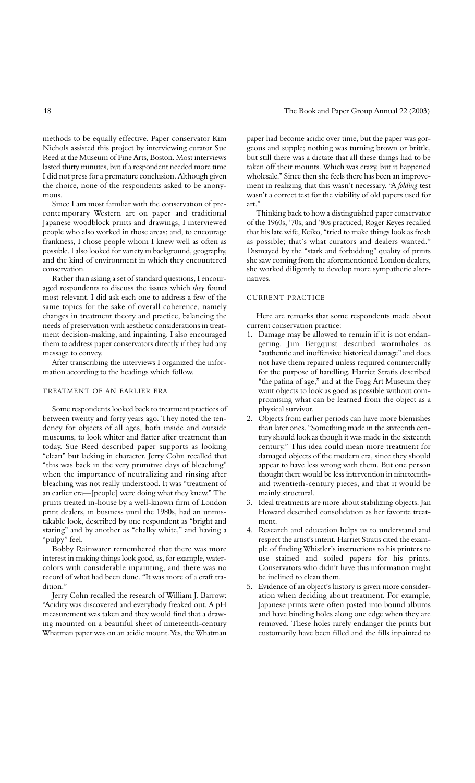methods to be equally effective. Paper conservator Kim Nichols assisted this project by interviewing curator Sue Reed at the Museum of Fine Arts, Boston. Most interviews lasted thirty minutes, but if a respondent needed more time I did not press for a premature conclusion. Although given the choice, none of the respondents asked to be anonymous.

Since I am most familiar with the conservation of precontemporary Western art on paper and traditional Japanese woodblock prints and drawings, I interviewed people who also worked in those areas; and, to encourage frankness, I chose people whom I knew well as often as possible. I also looked for variety in background, geography, and the kind of environment in which they encountered conservation.

Rather than asking a set of standard questions, I encouraged respondents to discuss the issues which *they* found most relevant. I did ask each one to address a few of the same topics for the sake of overall coherence, namely changes in treatment theory and practice, balancing the needs of preservation with aesthetic considerations in treatment decision-making, and inpainting. I also encouraged them to address paper conservators directly if they had any message to convey.

After transcribing the interviews I organized the information according to the headings which follow.

# TREATMENT OF AN EARLIER ERA

Some respondents looked back to treatment practices of between twenty and forty years ago. They noted the tendency for objects of all ages, both inside and outside museums, to look whiter and flatter after treatment than today. Sue Reed described paper supports as looking "clean" but lacking in character. Jerry Cohn recalled that "this was back in the very primitive days of bleaching" when the importance of neutralizing and rinsing after bleaching was not really understood. It was "treatment of an earlier era—[people] were doing what they knew." The prints treated in-house by a well-known firm of London print dealers, in business until the 1980s, had an unmistakable look, described by one respondent as "bright and staring" and by another as "chalky white," and having a "pulpy" feel.

Bobby Rainwater remembered that there was more interest in making things look good, as, for example, watercolors with considerable inpainting, and there was no record of what had been done. "It was more of a craft tradition."

Jerry Cohn recalled the research of William J. Barrow: "Acidity was discovered and everybody freaked out. A pH measurement was taken and they would find that a drawing mounted on a beautiful sheet of nineteenth-century Whatman paper was on an acidic mount. Yes, the Whatman

paper had become acidic over time, but the paper was gorgeous and supple; nothing was turning brown or brittle, but still there was a dictate that all these things had to be taken off their mounts. Which was crazy, but it happened wholesale." Since then she feels there has been an improvement in realizing that this wasn't necessary. "A *folding* test wasn't a correct test for the viability of old papers used for art."

Thinking back to how a distinguished paper conservator of the 1960s, '70s, and '80s practiced, Roger Keyes recalled that his late wife, Keiko, "tried to make things look as fresh as possible; that's what curators and dealers wanted." Dismayed by the "stark and forbidding" quality of prints she saw coming from the aforementioned London dealers, she worked diligently to develop more sympathetic alternatives.

#### **CURRENT PRACTICE**

Here are remarks that some respondents made about current conservation practice:

- 1. Damage may be allowed to remain if it is not endangering. Jim Bergquist described wormholes as "authentic and inoffensive historical damage" and does not have them repaired unless required commercially for the purpose of handling. Harriet Stratis described "the patina of age," and at the Fogg Art Museum they want objects to look as good as possible without compromising what can be learned from the object as a physical survivor.
- 2. Objects from earlier periods can have more blemishes than later ones. "Something made in the sixteenth century should look as though it was made in the sixteenth century." This idea could mean more treatment for damaged objects of the modern era, since they should appear to have less wrong with them. But one person thought there would be less intervention in nineteenthand twentieth-century pieces, and that it would be mainly structural.
- 3. Ideal treatments are more about stabilizing objects. Jan Howard described consolidation as her favorite treatment.
- 4. Research and education helps us to understand and respect the artist's intent. Harriet Stratis cited the example of finding Whistler's instructions to his printers to use stained and soiled papers for his prints. Conservators who didn't have this information might be inclined to clean them.
- 5. Evidence of an object's history is given more consideration when deciding about treatment. For example, Japanese prints were often pasted into bound albums and have binding holes along one edge when they are removed. These holes rarely endanger the prints but customarily have been filled and the fills inpainted to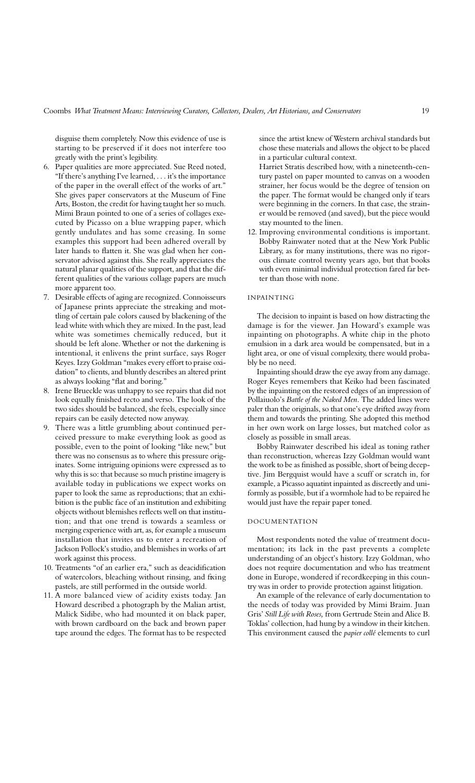disguise them completely. Now this evidence of use is starting to be preserved if it does not interfere too greatly with the print's legibility.

- 6. Paper qualities are more appreciated. Sue Reed noted, "If there's anything I've learned, . . . it's the importance of the paper in the overall effect of the works of art." She gives paper conservators at the Museum of Fine Arts, Boston, the credit for having taught her so much. Mimi Braun pointed to one of a series of collages executed by Picasso on a blue wrapping paper, which gently undulates and has some creasing. In some examples this support had been adhered overall by later hands to flatten it. She was glad when her conservator advised against this. She really appreciates the natural planar qualities of the support, and that the different qualities of the various collage papers are much more apparent too.
- 7. Desirable effects of aging are recognized. Connoisseurs of Japanese prints appreciate the streaking and mottling of certain pale colors caused by blackening of the lead white with which they are mixed. In the past, lead white was sometimes chemically reduced, but it should be left alone. Whether or not the darkening is intentional, it enlivens the print surface, says Roger Keyes. Izzy Goldman "makes every effort to praise oxidation" to clients, and bluntly describes an altered print as always looking "flat and boring."
- 8. Irene Brueckle was unhappy to see repairs that did not look equally finished recto and verso. The look of the two sides should be balanced, she feels, especially since repairs can be easily detected now anyway.
- 9. There was a little grumbling about continued perceived pressure to make everything look as good as possible, even to the point of looking "like new," but there was no consensus as to where this pressure originates. Some intriguing opinions were expressed as to why this is so: that because so much pristine imagery is available today in publications we expect works on paper to look the same as reproductions; that an exhibition is the public face of an institution and exhibiting objects without blemishes reflects well on that institution; and that one trend is towards a seamless or merging experience with art, as, for example a museum installation that invites us to enter a recreation of Jackson Pollock's studio, and blemishes in works of art work against this process.
- 10. Treatments "of an earlier era," such as deacidification of watercolors, bleaching without rinsing, and fixing pastels, are still performed in the outside world.
- 11. A more balanced view of acidity exists today. Jan Howard described a photograph by the Malian artist, Malick Sidibe, who had mounted it on black paper, with brown cardboard on the back and brown paper tape around the edges. The format has to be respected

since the artist knew of Western archival standards but chose these materials and allows the object to be placed in a particular cultural context.

Harriet Stratis described how, with a nineteenth-century pastel on paper mounted to canvas on a wooden strainer, her focus would be the degree of tension on the paper. The format would be changed only if tears were beginning in the corners. In that case, the strainer would be removed (and saved), but the piece would stay mounted to the linen.

12. Improving environmental conditions is important. Bobby Rainwater noted that at the New York Public Library, as for many institutions, there was no rigorous climate control twenty years ago, but that books with even minimal individual protection fared far better than those with none.

#### **INPAINTING**

The decision to inpaint is based on how distracting the damage is for the viewer. Jan Howard's example was inpainting on photographs. A white chip in the photo emulsion in a dark area would be compensated, but in a light area, or one of visual complexity, there would probably be no need.

Inpainting should draw the eye away from any damage. Roger Keyes remembers that Keiko had been fascinated by the inpainting on the restored edges of an impression of Pollaiuolo's *Battle of the Naked Men*. The added lines were paler than the originals, so that one's eye drifted away from them and towards the printing. She adopted this method in her own work on large losses, but matched color as closely as possible in small areas.

Bobby Rainwater described his ideal as toning rather than reconstruction, whereas Izzy Goldman would want the work to be as finished as possible, short of being deceptive. Jim Bergquist would have a scuff or scratch in, for example, a Picasso aquatint inpainted as discreetly and uniformly as possible, but if a wormhole had to be repaired he would just have the repair paper toned.

## DOCUMENTATION

Most respondents noted the value of treatment documentation; its lack in the past prevents a complete understanding of an object's history. Izzy Goldman, who does not require documentation and who has treatment done in Europe, wondered if recordkeeping in this country was in order to provide protection against litigation.

An example of the relevance of early documentation to the needs of today was provided by Mimi Braim. Juan Gris' *Still Life with Roses,* from Gertrude Stein and Alice B. Toklas' collection, had hung by a window in their kitchen. This environment caused the *papier collé* elements to curl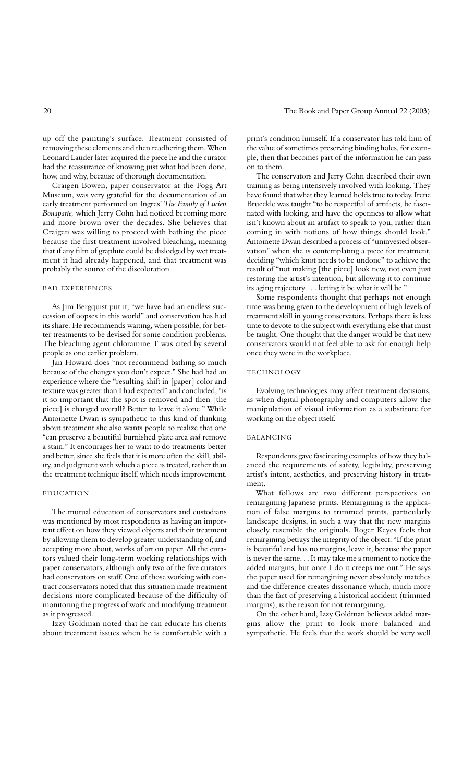up off the painting's surface. Treatment consisted of removing these elements and then readhering them. When Leonard Lauder later acquired the piece he and the curator had the reassurance of knowing just what had been done, how, and why, because of thorough documentation.

Craigen Bowen, paper conservator at the Fogg Art Museum, was very grateful for the documentation of an early treatment performed on Ingres' *The Family of Lucien Bonaparte,* which Jerry Cohn had noticed becoming more and more brown over the decades. She believes that Craigen was willing to proceed with bathing the piece because the first treatment involved bleaching, meaning that if any film of graphite could be dislodged by wet treatment it had already happened, and that treatment was probably the source of the discoloration.

#### BAD EXPERIENCES

As Jim Bergquist put it, "we have had an endless succession of oopses in this world" and conservation has had its share. He recommends waiting, when possible, for better treatments to be devised for some condition problems. The bleaching agent chloramine T was cited by several people as one earlier problem.

Jan Howard does "not recommend bathing so much because of the changes you don't expect." She had had an experience where the "resulting shift in [paper] color and texture was greater than I had expected" and concluded, "is it so important that the spot is removed and then [the piece] is changed overall? Better to leave it alone." While Antoinette Dwan is sympathetic to this kind of thinking about treatment she also wants people to realize that one "can preserve a beautiful burnished plate area *and* remove a stain." It encourages her to want to do treatments better and better, since she feels that it is more often the skill, ability, and judgment with which a piece is treated, rather than the treatment technique itself, which needs improvement.

#### **EDUCATION**

The mutual education of conservators and custodians was mentioned by most respondents as having an important effect on how they viewed objects and their treatment by allowing them to develop greater understanding of, and accepting more about, works of art on paper. All the curators valued their long-term working relationships with paper conservators, although only two of the five curators had conservators on staff. One of those working with contract conservators noted that this situation made treatment decisions more complicated because of the difficulty of monitoring the progress of work and modifying treatment as it progressed.

Izzy Goldman noted that he can educate his clients about treatment issues when he is comfortable with a print's condition himself. If a conservator has told him of the value of sometimes preserving binding holes, for example, then that becomes part of the information he can pass on to them.

The conservators and Jerry Cohn described their own training as being intensively involved with looking. They have found that what they learned holds true to today. Irene Brueckle was taught "to be respectful of artifacts, be fascinated with looking, and have the openness to allow what isn't known about an artifact to speak to you, rather than coming in with notions of how things should look." Antoinette Dwan described a process of "uninvested observation" when she is contemplating a piece for treatment, deciding "which knot needs to be undone" to achieve the result of "not making [the piece] look new, not even just restoring the artist's intention, but allowing it to continue its aging trajectory . . . letting it be what it will be."

Some respondents thought that perhaps not enough time was being given to the development of high levels of treatment skill in young conservators. Perhaps there is less time to devote to the subject with everything else that must be taught. One thought that the danger would be that new conservators would not feel able to ask for enough help once they were in the workplace.

### TECHNOLOGY

Evolving technologies may affect treatment decisions, as when digital photography and computers allow the manipulation of visual information as a substitute for working on the object itself.

#### **BALANCING**

Respondents gave fascinating examples of how they balanced the requirements of safety, legibility, preserving artist's intent, aesthetics, and preserving history in treatment.

What follows are two different perspectives on remargining Japanese prints. Remargining is the application of false margins to trimmed prints, particularly landscape designs, in such a way that the new margins closely resemble the originals. Roger Keyes feels that remargining betrays the integrity of the object. "If the print is beautiful and has no margins, leave it, because the paper is never the same. . . It may take me a moment to notice the added margins, but once I do it creeps me out." He says the paper used for remargining never absolutely matches and the difference creates dissonance which, much more than the fact of preserving a historical accident (trimmed margins), is the reason for not remargining.

On the other hand, Izzy Goldman believes added margins allow the print to look more balanced and sympathetic. He feels that the work should be very well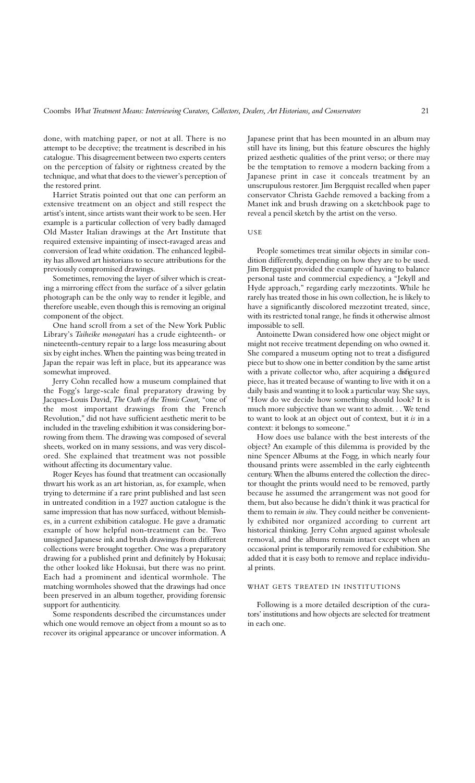done, with matching paper, or not at all. There is no attempt to be deceptive; the treatment is described in his catalogue. This disagreement between two experts centers on the perception of falsity or rightness created by the technique, and what that does to the viewer's perception of the restored print.

Harriet Stratis pointed out that one can perform an extensive treatment on an object and still respect the artist's intent, since artists want their work to be seen. Her example is a particular collection of very badly damaged Old Master Italian drawings at the Art Institute that required extensive inpainting of insect-ravaged areas and conversion of lead white oxidation. The enhanced legibility has allowed art historians to secure attributions for the previously compromised drawings.

Sometimes, removing the layer of silver which is creating a mirroring effect from the surface of a silver gelatin photograph can be the only way to render it legible, and therefore useable, even though this is removing an original component of the object.

One hand scroll from a set of the New York Public Library's Taiheike monogatari has a crude eighteenth- or nineteenth-century repair to a large loss measuring about six by eight inches. When the painting was being treated in Japan the repair was left in place, but its appearance was somewhat improved.

Jerry Cohn recalled how a museum complained that the Fogg's large-scale final preparatory drawing by Jacques-Louis David, *The Oath of the Tennis Court,* "one of the most important drawings from the French Revolution," did not have sufficient aesthetic merit to be included in the traveling exhibition it was considering borrowing from them. The drawing was composed of several sheets, worked on in many sessions, and was very discolored. She explained that treatment was not possible without affecting its documentary value.

Roger Keyes has found that treatment can occasionally thwart his work as an art historian, as, for example, when trying to determine if a rare print published and last seen in untreated condition in a 1927 auction catalogue is the same impression that has now surfaced, without blemishes, in a current exhibition catalogue. He gave a dramatic example of how helpful non-treatment can be. Two unsigned Japanese ink and brush drawings from different collections were brought together. One was a preparatory drawing for a published print and definitely by Hokusai; the other looked like Hokusai, but there was no print. Each had a prominent and identical wormhole. The matching wormholes showed that the drawings had once been preserved in an album together, providing forensic support for authenticity.

Some respondents described the circumstances under which one would remove an object from a mount so as to recover its original appearance or uncover information. A

Japanese print that has been mounted in an album may still have its lining, but this feature obscures the highly prized aesthetic qualities of the print verso; or there may be the temptation to remove a modern backing from a Japanese print in case it conceals treatment by an unscrupulous restorer. Jim Bergquist recalled when paper conservator Christa Gaehde removed a backing from a Manet ink and brush drawing on a sketchbook page to reveal a pencil sketch by the artist on the verso.

#### **USE**

People sometimes treat similar objects in similar condition differently, depending on how they are to be used. Jim Bergquist provided the example of having to balance personal taste and commercial expediency, a "Jekyll and Hyde approach," regarding early mezzotints. While he rarely has treated those in his own collection, he is likely to have a significantly discolored mezzotint treated, since, with its restricted tonal range, he finds it otherwise almost impossible to sell.

Antoinette Dwan considered how one object might or might not receive treatment depending on who owned it. She compared a museum opting not to treat a disfigured piece but to show one in better condition by the same artist with a private collector who, after acquiring a disfigured piece, has it treated because of wanting to live with it on a daily basis and wanting it to look a particular way. She says, "How do we decide how something should look? It is much more subjective than we want to admit. . . We tend to want to look at an object out of context, but it *is* in a context: it belongs to someone."

How does use balance with the best interests of the object? An example of this dilemma is provided by the nine Spencer Albums at the Fogg, in which nearly four thousand prints were assembled in the early eighteenth century. When the albums entered the collection the director thought the prints would need to be removed, partly because he assumed the arrangement was not good for them, but also because he didn't think it was practical for them to remain *in situ*. They could neither be conveniently exhibited nor organized according to current art historical thinking. Jerry Cohn argued against wholesale removal, and the albums remain intact except when an occasional print is temporarily removed for exhibition. She added that it is easy both to remove and replace individual prints.

## WHAT GETS TREATED IN INSTITUTIONS

Following is a more detailed description of the curators' institutions and how objects are selected for treatment in each one.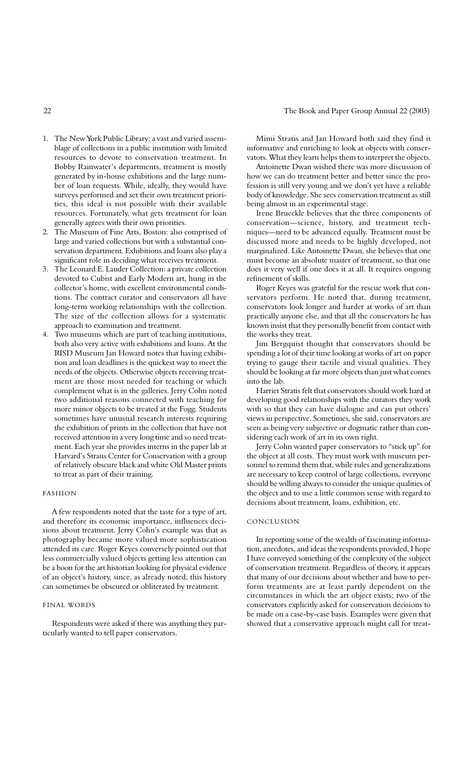- 1. The New York Public Library: a vast and varied assemblage of collections in a public institution with limited resources to devote to conservation treatment. In Bobby Rainwater's departments, treatment is mostly generated by in-house exhibitions and the large number of loan requests. While, ideally, they would have surveys performed and set their own treatment priorities, this ideal is not possible with their available resources. Fortunately, what gets treatment for loan generally agrees with their own priorities.
- 2. The Museum of Fine Arts, Boston: also comprised of large and varied collections but with a substantial conservation department. Exhibitions and loans also play a significant role in deciding what receives treatment.
- 3. The Leonard E. Lauder Collection: a private collection devoted to Cubist and Early Modern art, hung in the collector's home, with excellent environmental conditions. The contract curator and conservators all have long-term working relationships with the collection. The size of the collection allows for a systematic approach to examination and treatment.
- 4. Two museums which are part of teaching institutions, both also very active with exhibitions and loans. At the RISD Museum Jan Howard notes that having exhibition and loan deadlines is the quickest way to meet the needs of the objects. Otherwise objects receiving treatment are those most needed for teaching or which complement what is in the galleries. Jerry Cohn noted two additional reasons connected with teaching for more minor objects to be treated at the Fogg. Students sometimes have unusual research interests requiring the exhibition of prints in the collection that have not received attention in a very long time and so need treatment. Each year she provides interns in the paper lab at Harvard's Straus Center for Conservation with a group of relatively obscure black and white Old Master prints to treat as part of their training.

#### **FASHION**

A few respondents noted that the taste for a type of art, and therefore its economic importance, influences decisions about treatment. Jerry Cohn's example was that as photography became more valued more sophistication attended its care. Roger Keyes conversely pointed out that less commercially valued objects getting less attention can be a boon for the art historian looking for physical evidence of an object's history, since, as already noted, this history can sometimes be obscured or obliterated by treatment.

## FINAL WORDS

Respondents were asked if there was anything they particularly wanted to tell paper conservators.

Mimi Stratis and Jan Howard both said they find it informative and enriching to look at objects with conservators. What they learn helps them to interpret the objects.

Antoinette Dwan wished there was more discussion of how we can do treatment better and better since the profession is still very young and we don't yet have a reliable body of knowledge. She sees conservation treatment as still being almost in an experimental stage.

Irene Brueckle believes that the three components of conservation—science, history, and treatment techniques—need to be advanced equally. Treatment must be discussed more and needs to be highly developed, not marginalized. Like Antoinette Dwan, she believes that one must become an absolute master of treatment, so that one does it very well if one does it at all. It requires ongoing refinement of skills.

Roger Keyes was grateful for the rescue work that conservators perform. He noted that, during treatment, conservators look longer and harder at works of art than practically anyone else, and that all the conservators he has known insist that they personally benefit from contact with the works they treat.

Jim Bergquist thought that conservators should be spending a lot of their time looking at works of art on paper trying to gauge their tactile and visual qualities. They should be looking at far more objects than just what comes into the lab.

Harriet Stratis felt that conservators should work hard at developing good relationships with the curators they work with so that they can have dialogue and can put others' views in perspective. Sometimes, she said, conservators are seen as being very subjective or dogmatic rather than considering each work of art in its own right.

Jerry Cohn wanted paper conservators to "stick up" for the object at all costs. They must work with museum personnel to remind them that, while rules and generalizations are necessary to keep control of large collections, everyone should be willing always to consider the unique qualities of the object and to use a little common sense with regard to decisions about treatment, loans, exhibition, etc.

#### **CONCLUSION**

In reporting some of the wealth of fascinating information, anecdotes, and ideas the respondents provided, I hope I have conveyed something of the complexity of the subject of conservation treatment. Regardless of theory, it appears that many of our decisions about whether and how to perform treatments are at least partly dependent on the circumstances in which the art object exists; two of the conservators explicitly asked for conservation decisions to be made on a case-by-case basis. Examples were given that showed that a conservative approach might call for treat